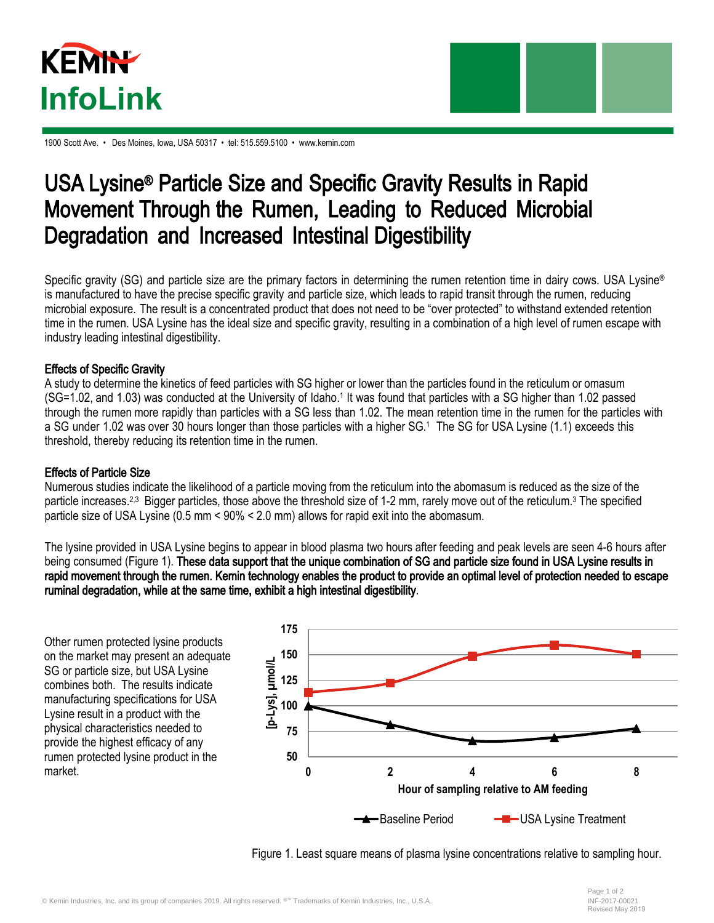



1900 Scott Ave. • Des Moines, Iowa, USA 50317 • tel: 515.559.5100 • www.kemin.com

## USA Lysine® Particle Size and Specific Gravity Results in Rapid Movement Through the Rumen, Leading to Reduced Microbial Degradation and Increased Intestinal Digestibility

Specific gravity (SG) and particle size are the primary factors in determining the rumen retention time in dairy cows. USA Lysine® is manufactured to have the precise specific gravity and particle size, which leads to rapid transit through the rumen, reducing microbial exposure. The result is a concentrated product that does not need to be "over protected" to withstand extended retention time in the rumen. USA Lysine has the ideal size and specific gravity, resulting in a combination of a high level of rumen escape with industry leading intestinal digestibility.

## Effects of Specific Gravity

A study to determine the kinetics of feed particles with SG higher or lower than the particles found in the reticulum or omasum (SG=1.02, and 1.03) was conducted at the University of Idaho.<sup>1</sup> It was found that particles with a SG higher than 1.02 passed through the rumen more rapidly than particles with a SG less than 1.02. The mean retention time in the rumen for the particles with a SG under 1.02 was over 30 hours longer than those particles with a higher SG. <sup>1</sup> The SG for USA Lysine (1.1) exceeds this threshold, thereby reducing its retention time in the rumen.

## Effects of Particle Size

Numerous studies indicate the likelihood of a particle moving from the reticulum into the abomasum is reduced as the size of the particle increases.<sup>2,3</sup> Bigger particles, those above the threshold size of 1-2 mm, rarely move out of the reticulum.<sup>3</sup> The specified particle size of USA Lysine (0.5 mm < 90% < 2.0 mm) allows for rapid exit into the abomasum.

The lysine provided in USA Lysine begins to appear in blood plasma two hours after feeding and peak levels are seen 4-6 hours after being consumed (Figure 1). These data support that the unique combination of SG and particle size found in USA Lysine results in rapid movement through the rumen. Kemin technology enables the product to provide an optimal level of protection needed to escape ruminal degradation, while at the same time, exhibit a high intestinal digestibility.

Other rumen protected lysine products on the market may present an adequate SG or particle size, but USA Lysine combines both. The results indicate manufacturing specifications for USA Lysine result in a product with the physical characteristics needed to provide the highest efficacy of any rumen protected lysine product in the market.



Figure 1. Least square means of plasma lysine concentrations relative to sampling hour.